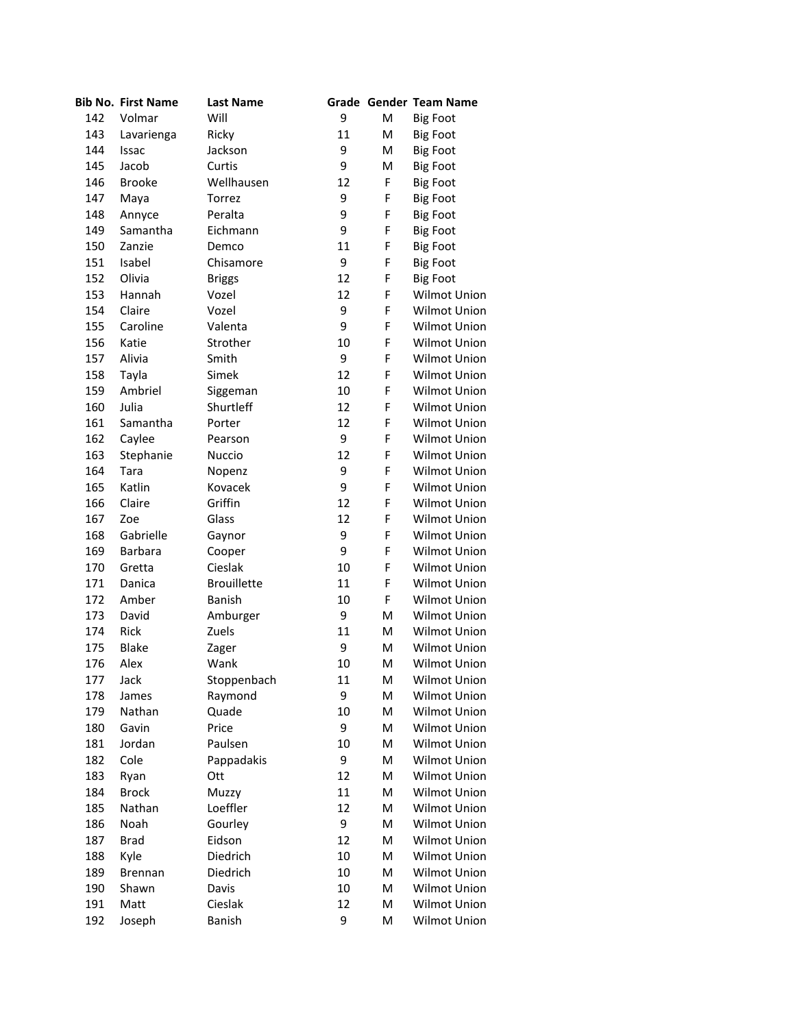|     | <b>Bib No. First Name</b> | <b>Last Name</b>   |    |   | Grade Gender Team Name |
|-----|---------------------------|--------------------|----|---|------------------------|
| 142 | Volmar                    | Will               | 9  | M | <b>Big Foot</b>        |
| 143 | Lavarienga                | Ricky              | 11 | M | <b>Big Foot</b>        |
| 144 | Issac                     | Jackson            | 9  | M | <b>Big Foot</b>        |
| 145 | Jacob                     | Curtis             | 9  | Μ | <b>Big Foot</b>        |
| 146 | <b>Brooke</b>             | Wellhausen         | 12 | F | <b>Big Foot</b>        |
| 147 | Maya                      | Torrez             | 9  | F | <b>Big Foot</b>        |
| 148 | Annyce                    | Peralta            | 9  | F | <b>Big Foot</b>        |
| 149 | Samantha                  | Eichmann           | 9  | F | <b>Big Foot</b>        |
| 150 | Zanzie                    | Demco              | 11 | F | <b>Big Foot</b>        |
| 151 | Isabel                    | Chisamore          | 9  | F | <b>Big Foot</b>        |
| 152 | Olivia                    | <b>Briggs</b>      | 12 | F | <b>Big Foot</b>        |
| 153 | Hannah                    | Vozel              | 12 | F | Wilmot Union           |
| 154 | Claire                    | Vozel              | 9  | F | Wilmot Union           |
| 155 | Caroline                  | Valenta            | 9  | F | Wilmot Union           |
| 156 | Katie                     | Strother           | 10 | F | Wilmot Union           |
| 157 | Alivia                    | Smith              | 9  | F | Wilmot Union           |
| 158 | Tayla                     | Simek              | 12 | F | Wilmot Union           |
| 159 | Ambriel                   | Siggeman           | 10 | F | Wilmot Union           |
| 160 | Julia                     | Shurtleff          | 12 | F | Wilmot Union           |
| 161 | Samantha                  | Porter             | 12 | F | Wilmot Union           |
| 162 | Caylee                    | Pearson            | 9  | F | Wilmot Union           |
| 163 | Stephanie                 | Nuccio             | 12 | F | Wilmot Union           |
| 164 | Tara                      | Nopenz             | 9  | F | Wilmot Union           |
| 165 | Katlin                    | Kovacek            | 9  | F | Wilmot Union           |
| 166 | Claire                    | Griffin            | 12 | F | Wilmot Union           |
| 167 | Zoe                       | Glass              | 12 | F | Wilmot Union           |
| 168 | Gabrielle                 | Gaynor             | 9  | F | Wilmot Union           |
| 169 | Barbara                   | Cooper             | 9  | F | Wilmot Union           |
| 170 | Gretta                    | Cieslak            | 10 | F | Wilmot Union           |
| 171 | Danica                    | <b>Brouillette</b> | 11 | F | Wilmot Union           |
| 172 | Amber                     | <b>Banish</b>      | 10 | F | Wilmot Union           |
| 173 | David                     | Amburger           | 9  | M | Wilmot Union           |
| 174 | Rick                      | Zuels              | 11 | M | Wilmot Union           |
| 175 | <b>Blake</b>              | Zager              | 9  | м | Wilmot Union           |
| 176 | Alex                      | Wank               | 10 | M | Wilmot Union           |
| 177 | Jack                      | Stoppenbach        | 11 | м | Wilmot Union           |
| 178 | James                     | Raymond            | 9  | M | Wilmot Union           |
| 179 | Nathan                    | Quade              | 10 | M | Wilmot Union           |
| 180 | Gavin                     | Price              | 9  | Μ | Wilmot Union           |
| 181 | Jordan                    | Paulsen            | 10 | Μ | Wilmot Union           |
| 182 | Cole                      | Pappadakis         | 9  | M | Wilmot Union           |
| 183 | Ryan                      | Ott                | 12 | Μ | Wilmot Union           |
| 184 | <b>Brock</b>              | Muzzy              | 11 | M | Wilmot Union           |
| 185 | Nathan                    | Loeffler           | 12 | M | Wilmot Union           |
| 186 | Noah                      | Gourley            | 9  | Μ | Wilmot Union           |
| 187 | <b>Brad</b>               | Eidson             | 12 | Μ | Wilmot Union           |
| 188 | Kyle                      | Diedrich           | 10 | M | Wilmot Union           |
| 189 | <b>Brennan</b>            | Diedrich           | 10 | Μ | Wilmot Union           |
| 190 | Shawn                     | Davis              | 10 | M | Wilmot Union           |
| 191 | Matt                      | Cieslak            | 12 | Μ | Wilmot Union           |
| 192 | Joseph                    | Banish             | 9  | Μ | Wilmot Union           |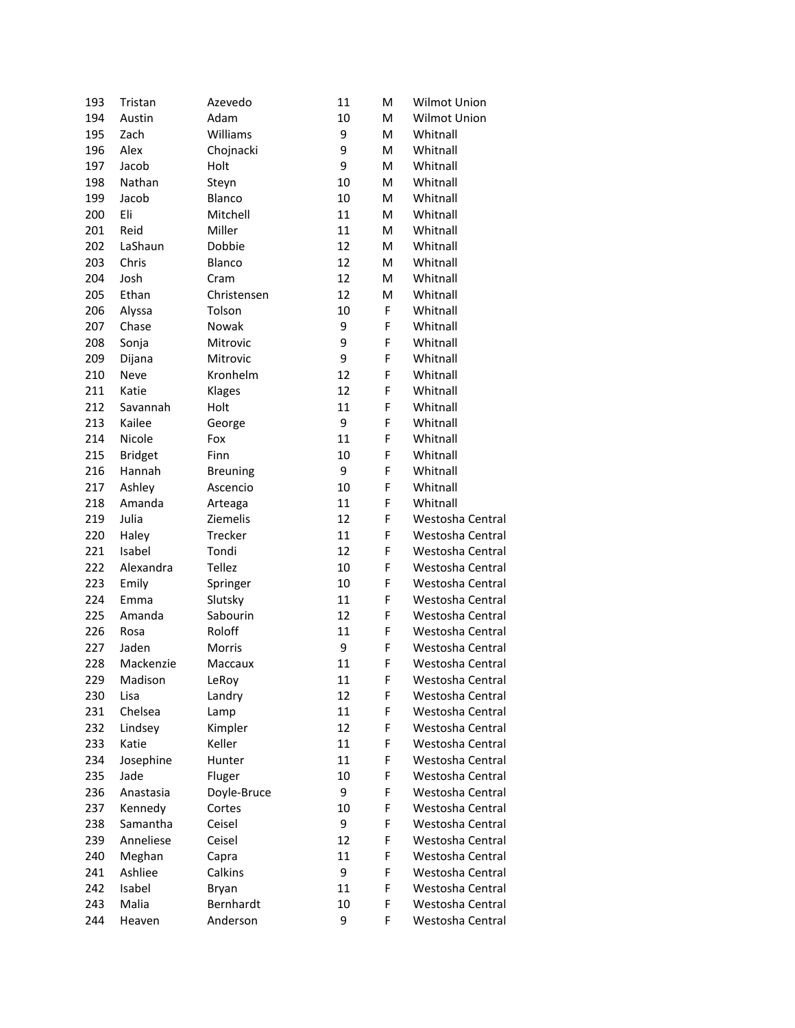| 193 | Tristan        | Azevedo             | 11 | M | Wilmot Union     |
|-----|----------------|---------------------|----|---|------------------|
| 194 | Austin         | Adam                | 10 | M | Wilmot Union     |
| 195 | Zach           | Williams            | 9  | M | Whitnall         |
| 196 | Alex           | Chojnacki           | 9  | M | Whitnall         |
| 197 | Jacob          | Holt                | 9  | M | Whitnall         |
| 198 | Nathan         | Steyn               | 10 | M | Whitnall         |
| 199 | Jacob          | Blanco              | 10 | M | Whitnall         |
| 200 | Eli            | Mitchell            | 11 | M | Whitnall         |
| 201 | Reid           | Miller              | 11 | M | Whitnall         |
| 202 | LaShaun        | Dobbie              | 12 | M | Whitnall         |
| 203 | Chris          | Blanco              | 12 | M | Whitnall         |
| 204 | Josh           | Cram                | 12 | M | Whitnall         |
| 205 | Ethan          | Christensen         | 12 | M | Whitnall         |
| 206 | Alyssa         | Tolson              | 10 | F | Whitnall         |
| 207 | Chase          | Nowak               | 9  | F | Whitnall         |
| 208 | Sonja          | Mitrovic            | 9  | F | Whitnall         |
| 209 | Dijana         | Mitrovic            | 9  | F | Whitnall         |
| 210 | Neve           | Kronhelm            | 12 | F | Whitnall         |
| 211 | Katie          | Klages              | 12 | F | Whitnall         |
| 212 | Savannah       | Holt                | 11 | F | Whitnall         |
| 213 | Kailee         | George              | 9  | F | Whitnall         |
| 214 | Nicole         | Fox                 | 11 | F | Whitnall         |
| 215 | <b>Bridget</b> | Finn                | 10 | F | Whitnall         |
| 216 | Hannah         | <b>Breuning</b>     | 9  | F | Whitnall         |
| 217 | Ashley         | Ascencio            | 10 | F | Whitnall         |
| 218 | Amanda         |                     | 11 | F | Whitnall         |
| 219 | Julia          | Arteaga<br>Ziemelis | 12 | F | Westosha Central |
|     |                |                     |    | F |                  |
| 220 | Haley          | Trecker             | 11 |   | Westosha Central |
| 221 | Isabel         | Tondi               | 12 | F | Westosha Central |
| 222 | Alexandra      | <b>Tellez</b>       | 10 | F | Westosha Central |
| 223 | Emily          | Springer            | 10 | F | Westosha Central |
| 224 | Emma           | Slutsky             | 11 | F | Westosha Central |
| 225 | Amanda         | Sabourin            | 12 | F | Westosha Central |
| 226 | Rosa           | Roloff              | 11 | F | Westosha Central |
| 227 | Jaden          | Morris              | 9  | F | Westosha Central |
| 228 | Mackenzie      | Maccaux             | 11 | F | Westosha Central |
| 229 | Madison        | LeRoy               | 11 | F | Westosha Central |
| 230 | Lisa           | Landry              | 12 | F | Westosha Central |
| 231 | Chelsea        | Lamp                | 11 | F | Westosha Central |
| 232 | Lindsey        | Kimpler             | 12 | F | Westosha Central |
| 233 | Katie          | Keller              | 11 | F | Westosha Central |
| 234 | Josephine      | Hunter              | 11 | F | Westosha Central |
| 235 | Jade           | Fluger              | 10 | F | Westosha Central |
| 236 | Anastasia      | Doyle-Bruce         | 9  | F | Westosha Central |
| 237 | Kennedy        | Cortes              | 10 | F | Westosha Central |
| 238 | Samantha       | Ceisel              | 9  | F | Westosha Central |
| 239 | Anneliese      | Ceisel              | 12 | F | Westosha Central |
| 240 | Meghan         | Capra               | 11 | F | Westosha Central |
| 241 | Ashliee        | Calkins             | 9  | F | Westosha Central |
| 242 | Isabel         | Bryan               | 11 | F | Westosha Central |
| 243 | Malia          | Bernhardt           | 10 | F | Westosha Central |
| 244 | Heaven         | Anderson            | 9  | F | Westosha Central |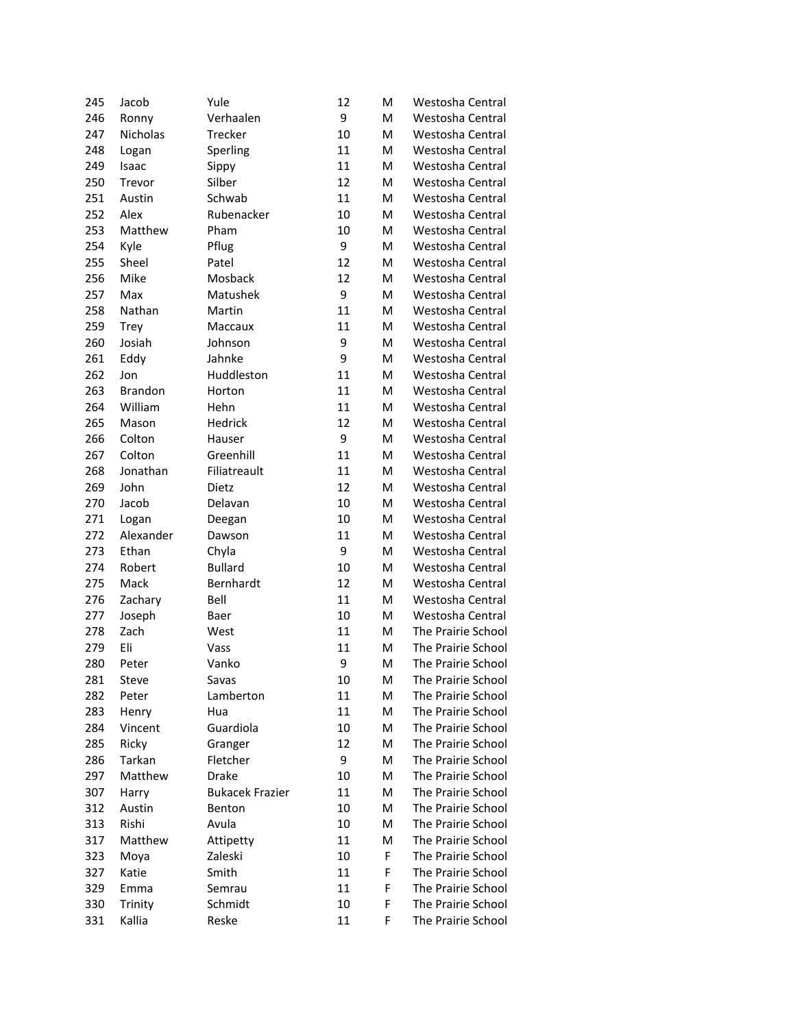| 245 | Jacob          | Yule                   | 12 | M | Westosha Central                         |
|-----|----------------|------------------------|----|---|------------------------------------------|
| 246 | Ronny          | Verhaalen              | 9  | M | Westosha Central                         |
| 247 | Nicholas       | Trecker                | 10 | M | Westosha Central                         |
| 248 | Logan          | Sperling               | 11 | M | Westosha Central                         |
| 249 | Isaac          | Sippy                  | 11 | M | Westosha Central                         |
| 250 | Trevor         | Silber                 | 12 | M | Westosha Central                         |
| 251 | Austin         | Schwab                 | 11 | M | Westosha Central                         |
| 252 | Alex           | Rubenacker             | 10 | M | Westosha Central                         |
| 253 | Matthew        | Pham                   | 10 | M | Westosha Central                         |
| 254 | Kyle           | Pflug                  | 9  | M | Westosha Central                         |
| 255 | Sheel          | Patel                  | 12 | M | Westosha Central                         |
| 256 | Mike           | Mosback                | 12 | M | Westosha Central                         |
| 257 | Max            | Matushek               | 9  | M | Westosha Central                         |
| 258 | Nathan         | Martin                 | 11 | M | Westosha Central                         |
| 259 | <b>Trey</b>    | Maccaux                | 11 | Μ | Westosha Central                         |
| 260 | Josiah         | Johnson                | 9  | Μ | Westosha Central                         |
| 261 | Eddy           | Jahnke                 | 9  | Μ | Westosha Central                         |
| 262 | Jon            | Huddleston             | 11 | M | Westosha Central                         |
| 263 | <b>Brandon</b> | Horton                 | 11 | M | Westosha Central                         |
| 264 | William        | Hehn                   | 11 | M | Westosha Central                         |
| 265 | Mason          | Hedrick                | 12 | M | Westosha Central                         |
| 266 | Colton         | Hauser                 | 9  | M | Westosha Central                         |
| 267 | Colton         | Greenhill              | 11 | M | Westosha Central                         |
| 268 | Jonathan       | Filiatreault           | 11 | M | Westosha Central                         |
| 269 | John           | Dietz                  | 12 | M | Westosha Central                         |
| 270 | Jacob          | Delavan                | 10 | M | Westosha Central                         |
| 271 | Logan          | Deegan                 | 10 | M | Westosha Central                         |
| 272 | Alexander      | Dawson                 | 11 | M | Westosha Central                         |
| 273 | Ethan          | Chyla                  | 9  | M | Westosha Central                         |
| 274 | Robert         | <b>Bullard</b>         | 10 | M | Westosha Central                         |
| 275 | Mack           | Bernhardt              | 12 | M | Westosha Central                         |
| 276 | Zachary        | Bell                   | 11 | M | Westosha Central                         |
| 277 | Joseph         | Baer                   | 10 | M | Westosha Central                         |
| 278 | Zach           | West                   | 11 | Μ | The Prairie School                       |
| 279 | Eli            | Vass                   | 11 | M | The Prairie School                       |
| 280 | Peter          | Vanko                  | 9  | M | The Prairie School                       |
| 281 | Steve          | Savas                  | 10 | M | The Prairie School                       |
| 282 | Peter          | Lamberton              | 11 | М | The Prairie School                       |
| 283 | Henry          | Hua                    | 11 | Μ | The Prairie School                       |
| 284 | Vincent        | Guardiola              | 10 | Μ | The Prairie School                       |
| 285 | Ricky          | Granger                | 12 | Μ | The Prairie School                       |
| 286 | Tarkan         | Fletcher               | 9  | Μ | The Prairie School                       |
| 297 | Matthew        | Drake                  | 10 | Μ | The Prairie School                       |
| 307 | Harry          | <b>Bukacek Frazier</b> | 11 | Μ | The Prairie School                       |
| 312 | Austin         | Benton                 | 10 | Μ | The Prairie School                       |
| 313 | Rishi          | Avula                  | 10 | Μ | The Prairie School                       |
| 317 | Matthew        | Attipetty              | 11 | Μ | The Prairie School                       |
|     |                |                        |    | F |                                          |
| 323 | Moya           | Zaleski                | 10 | F | The Prairie School<br>The Prairie School |
| 327 | Katie          | Smith                  | 11 | F | The Prairie School                       |
| 329 | Emma           | Semrau                 | 11 | F |                                          |
| 330 | Trinity        | Schmidt                | 10 |   | The Prairie School                       |
| 331 | Kallia         | Reske                  | 11 | F | The Prairie School                       |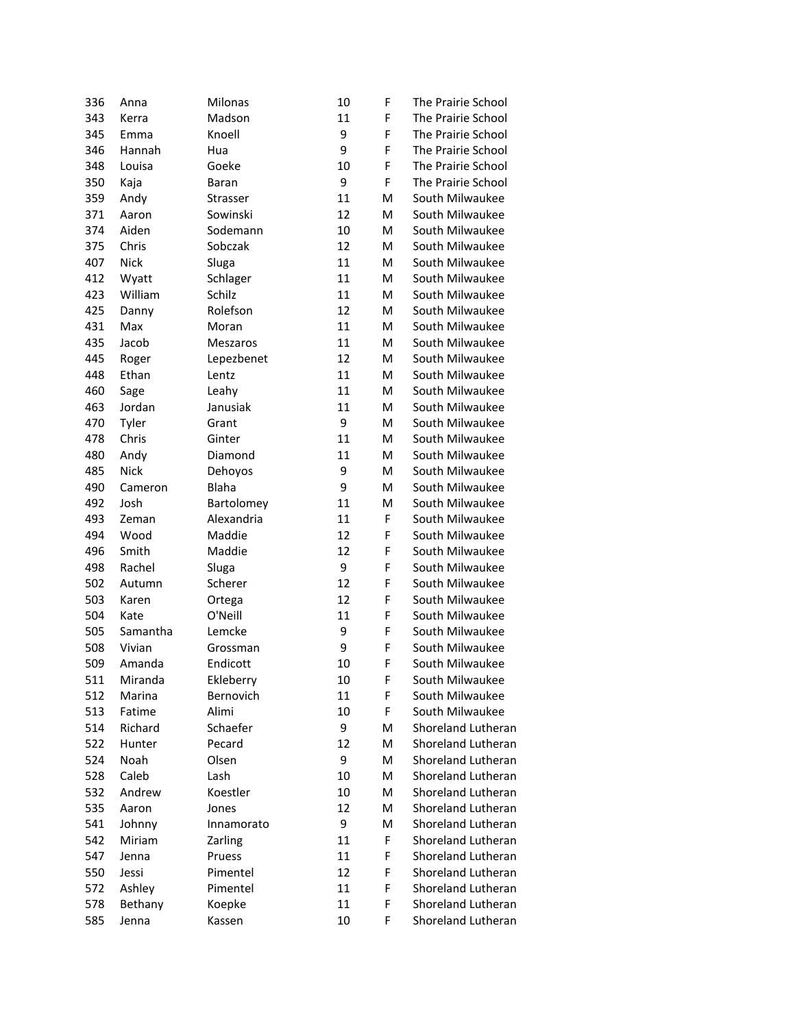| 336 | Anna        | Milonas      | 10 | F         | The Prairie School |
|-----|-------------|--------------|----|-----------|--------------------|
| 343 | Kerra       | Madson       | 11 | F         | The Prairie School |
| 345 | Emma        | Knoell       | 9  | F         | The Prairie School |
| 346 | Hannah      | Hua          | 9  | F         | The Prairie School |
| 348 | Louisa      | Goeke        | 10 | F         | The Prairie School |
| 350 | Kaja        | <b>Baran</b> | 9  | F         | The Prairie School |
| 359 | Andy        | Strasser     | 11 | м         | South Milwaukee    |
| 371 | Aaron       | Sowinski     | 12 | м         | South Milwaukee    |
| 374 | Aiden       | Sodemann     | 10 | м         | South Milwaukee    |
| 375 | Chris       | Sobczak      | 12 | м         | South Milwaukee    |
| 407 | <b>Nick</b> | Sluga        | 11 | м         | South Milwaukee    |
| 412 | Wyatt       | Schlager     | 11 | ${\sf M}$ | South Milwaukee    |
| 423 | William     | Schilz       | 11 | M         | South Milwaukee    |
| 425 | Danny       | Rolefson     | 12 | M         | South Milwaukee    |
| 431 | Max         | Moran        | 11 | M         | South Milwaukee    |
| 435 | Jacob       | Meszaros     | 11 | M         | South Milwaukee    |
| 445 | Roger       | Lepezbenet   | 12 | M         | South Milwaukee    |
| 448 | Ethan       | Lentz        | 11 | M         | South Milwaukee    |
| 460 | Sage        | Leahy        | 11 | M         | South Milwaukee    |
| 463 | Jordan      | Janusiak     | 11 | M         | South Milwaukee    |
| 470 | Tyler       | Grant        | 9  | м         | South Milwaukee    |
| 478 | Chris       | Ginter       | 11 | M         | South Milwaukee    |
| 480 | Andy        | Diamond      | 11 | M         | South Milwaukee    |
| 485 | <b>Nick</b> | Dehoyos      | 9  | м         | South Milwaukee    |
| 490 | Cameron     | <b>Blaha</b> | 9  | м         | South Milwaukee    |
| 492 | Josh        | Bartolomey   | 11 | M         | South Milwaukee    |
| 493 | Zeman       | Alexandria   | 11 | F         | South Milwaukee    |
| 494 | Wood        | Maddie       | 12 | F         | South Milwaukee    |
| 496 | Smith       | Maddie       | 12 | F         | South Milwaukee    |
| 498 | Rachel      | Sluga        | 9  | F         | South Milwaukee    |
| 502 | Autumn      | Scherer      | 12 | F         | South Milwaukee    |
| 503 | Karen       | Ortega       | 12 | F         | South Milwaukee    |
| 504 | Kate        | O'Neill      | 11 | F         | South Milwaukee    |
| 505 | Samantha    | Lemcke       | 9  | F         | South Milwaukee    |
| 508 | Vivian      | Grossman     | 9  | F         | South Milwaukee    |
| 509 | Amanda      | Endicott     | 10 | F         | South Milwaukee    |
| 511 | Miranda     | Ekleberry    | 10 | F         | South Milwaukee    |
| 512 | Marina      | Bernovich    | 11 | F         | South Milwaukee    |
| 513 | Fatime      | Alimi        | 10 | F         | South Milwaukee    |
| 514 | Richard     | Schaefer     | 9  | M         | Shoreland Lutheran |
| 522 | Hunter      | Pecard       | 12 | M         | Shoreland Lutheran |
| 524 | Noah        | Olsen        | 9  | M         | Shoreland Lutheran |
| 528 | Caleb       | Lash         | 10 | M         | Shoreland Lutheran |
| 532 | Andrew      | Koestler     | 10 | M         | Shoreland Lutheran |
| 535 | Aaron       | Jones        | 12 | M         | Shoreland Lutheran |
| 541 | Johnny      | Innamorato   | 9  | M         | Shoreland Lutheran |
| 542 | Miriam      | Zarling      | 11 | F         | Shoreland Lutheran |
| 547 | Jenna       | Pruess       | 11 | F         | Shoreland Lutheran |
| 550 | Jessi       | Pimentel     | 12 | F         | Shoreland Lutheran |
| 572 | Ashley      | Pimentel     | 11 | F         | Shoreland Lutheran |
| 578 | Bethany     | Koepke       | 11 | F         | Shoreland Lutheran |
| 585 | Jenna       | Kassen       | 10 | F         | Shoreland Lutheran |
|     |             |              |    |           |                    |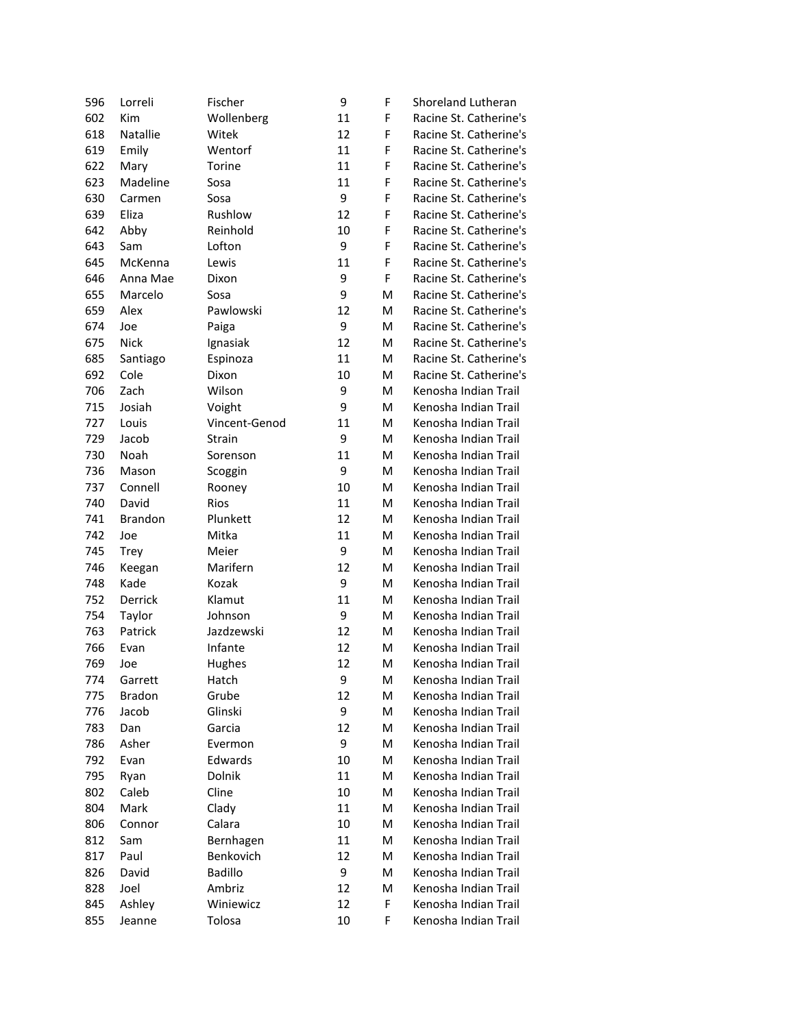| 596 | Lorreli        | Fischer        | 9  | F | Shoreland Lutheran     |
|-----|----------------|----------------|----|---|------------------------|
| 602 | Kim            | Wollenberg     | 11 | F | Racine St. Catherine's |
| 618 | Natallie       | Witek          | 12 | F | Racine St. Catherine's |
| 619 | Emily          | Wentorf        | 11 | F | Racine St. Catherine's |
| 622 | Mary           | Torine         | 11 | F | Racine St. Catherine's |
| 623 | Madeline       | Sosa           | 11 | F | Racine St. Catherine's |
| 630 | Carmen         | Sosa           | 9  | F | Racine St. Catherine's |
| 639 | Eliza          | Rushlow        | 12 | F | Racine St. Catherine's |
| 642 | Abby           | Reinhold       | 10 | F | Racine St. Catherine's |
| 643 | Sam            | Lofton         | 9  | F | Racine St. Catherine's |
| 645 | McKenna        | Lewis          | 11 | F | Racine St. Catherine's |
| 646 | Anna Mae       | Dixon          | 9  | F | Racine St. Catherine's |
| 655 | Marcelo        | Sosa           | 9  | м | Racine St. Catherine's |
| 659 | Alex           | Pawlowski      | 12 | м | Racine St. Catherine's |
| 674 | Joe            | Paiga          | 9  | м | Racine St. Catherine's |
| 675 | <b>Nick</b>    | Ignasiak       | 12 | M | Racine St. Catherine's |
| 685 | Santiago       | Espinoza       | 11 | M | Racine St. Catherine's |
| 692 | Cole           | Dixon          | 10 | M | Racine St. Catherine's |
| 706 | Zach           | Wilson         | 9  | м | Kenosha Indian Trail   |
| 715 | Josiah         | Voight         | 9  | M | Kenosha Indian Trail   |
| 727 | Louis          | Vincent-Genod  | 11 | M | Kenosha Indian Trail   |
| 729 | Jacob          | Strain         | 9  | м | Kenosha Indian Trail   |
| 730 | Noah           | Sorenson       | 11 | м | Kenosha Indian Trail   |
| 736 | Mason          | Scoggin        | 9  | м | Kenosha Indian Trail   |
| 737 | Connell        | Rooney         | 10 | м | Kenosha Indian Trail   |
| 740 | David          | <b>Rios</b>    | 11 | м | Kenosha Indian Trail   |
| 741 | <b>Brandon</b> | Plunkett       | 12 | м | Kenosha Indian Trail   |
| 742 | Joe            | Mitka          | 11 | M | Kenosha Indian Trail   |
| 745 | <b>Trey</b>    | Meier          | 9  | м | Kenosha Indian Trail   |
| 746 | Keegan         | Marifern       | 12 | M | Kenosha Indian Trail   |
| 748 | Kade           | Kozak          | 9  | M | Kenosha Indian Trail   |
| 752 | <b>Derrick</b> | Klamut         | 11 | M | Kenosha Indian Trail   |
| 754 | Taylor         | Johnson        | 9  | M | Kenosha Indian Trail   |
| 763 | Patrick        | Jazdzewski     | 12 | M | Kenosha Indian Trail   |
| 766 | Evan           | Infante        | 12 | м | Kenosha Indian Trail   |
| 769 | Joe            | Hughes         | 12 | м | Kenosha Indian Trail   |
| 774 | Garrett        | Hatch          | 9  | м | Kenosha Indian Trail   |
| 775 | <b>Bradon</b>  | Grube          | 12 | M | Kenosha Indian Trail   |
| 776 | Jacob          | Glinski        | 9  | M | Kenosha Indian Trail   |
| 783 | Dan            | Garcia         | 12 | M | Kenosha Indian Trail   |
| 786 | Asher          | Evermon        | 9  | M | Kenosha Indian Trail   |
| 792 | Evan           | Edwards        | 10 | M | Kenosha Indian Trail   |
| 795 | Ryan           | Dolnik         | 11 | M | Kenosha Indian Trail   |
| 802 | Caleb          | Cline          | 10 | M | Kenosha Indian Trail   |
| 804 | Mark           | Clady          | 11 | M | Kenosha Indian Trail   |
| 806 | Connor         | Calara         | 10 | M | Kenosha Indian Trail   |
| 812 | Sam            | Bernhagen      | 11 | M | Kenosha Indian Trail   |
| 817 | Paul           | Benkovich      | 12 | M | Kenosha Indian Trail   |
| 826 | David          | <b>Badillo</b> | 9  | M | Kenosha Indian Trail   |
| 828 | Joel           | Ambriz         | 12 | M | Kenosha Indian Trail   |
| 845 | Ashley         | Winiewicz      | 12 | F | Kenosha Indian Trail   |
| 855 | Jeanne         | Tolosa         | 10 | F | Kenosha Indian Trail   |
|     |                |                |    |   |                        |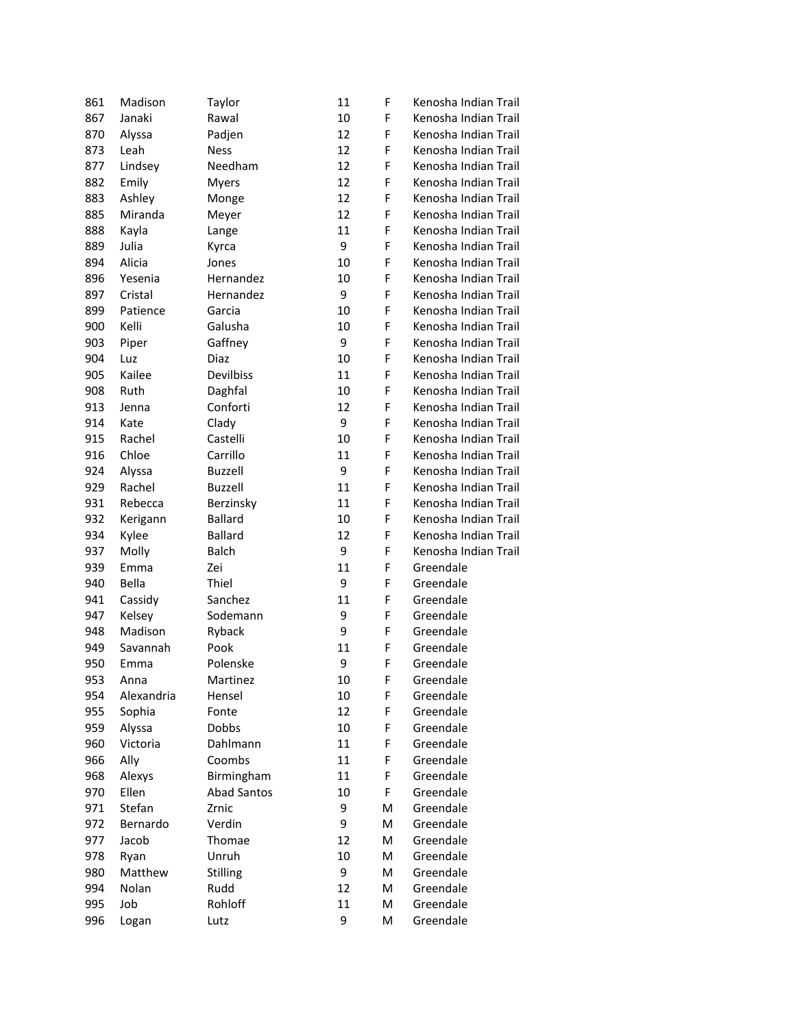| 861 | Madison    | Taylor             | 11 | F | Kenosha Indian Trail |
|-----|------------|--------------------|----|---|----------------------|
| 867 | Janaki     | Rawal              | 10 | F | Kenosha Indian Trail |
| 870 | Alyssa     | Padjen             | 12 | F | Kenosha Indian Trail |
| 873 | Leah       | <b>Ness</b>        | 12 | F | Kenosha Indian Trail |
| 877 | Lindsey    | Needham            | 12 | F | Kenosha Indian Trail |
| 882 | Emily      | <b>Myers</b>       | 12 | F | Kenosha Indian Trail |
| 883 | Ashley     | Monge              | 12 | F | Kenosha Indian Trail |
| 885 | Miranda    | Meyer              | 12 | F | Kenosha Indian Trail |
| 888 | Kayla      | Lange              | 11 | F | Kenosha Indian Trail |
| 889 | Julia      | Kyrca              | 9  | F | Kenosha Indian Trail |
| 894 | Alicia     | Jones              | 10 | F | Kenosha Indian Trail |
| 896 | Yesenia    | Hernandez          | 10 | F | Kenosha Indian Trail |
| 897 | Cristal    | Hernandez          | 9  | F | Kenosha Indian Trail |
| 899 | Patience   | Garcia             | 10 | F | Kenosha Indian Trail |
| 900 | Kelli      | Galusha            | 10 | F | Kenosha Indian Trail |
| 903 | Piper      | Gaffney            | 9  | F | Kenosha Indian Trail |
| 904 | Luz        | Diaz               | 10 | F | Kenosha Indian Trail |
| 905 | Kailee     | Devilbiss          | 11 | F | Kenosha Indian Trail |
| 908 | Ruth       | Daghfal            | 10 | F | Kenosha Indian Trail |
| 913 | Jenna      | Conforti           | 12 | F | Kenosha Indian Trail |
| 914 | Kate       | Clady              | 9  | F | Kenosha Indian Trail |
| 915 | Rachel     | Castelli           | 10 | F | Kenosha Indian Trail |
| 916 | Chloe      | Carrillo           | 11 | F | Kenosha Indian Trail |
| 924 | Alyssa     | <b>Buzzell</b>     | 9  | F | Kenosha Indian Trail |
| 929 | Rachel     | <b>Buzzell</b>     | 11 | F | Kenosha Indian Trail |
| 931 | Rebecca    | Berzinsky          | 11 | F | Kenosha Indian Trail |
| 932 | Kerigann   | <b>Ballard</b>     | 10 | F | Kenosha Indian Trail |
| 934 | Kylee      | <b>Ballard</b>     | 12 | F | Kenosha Indian Trail |
| 937 | Molly      | <b>Balch</b>       | 9  | F | Kenosha Indian Trail |
| 939 | Emma       | Zei                | 11 | F | Greendale            |
| 940 | Bella      | Thiel              | 9  | F | Greendale            |
| 941 | Cassidy    | Sanchez            | 11 | F | Greendale            |
| 947 | Kelsey     | Sodemann           | 9  | F | Greendale            |
| 948 | Madison    | Ryback             | 9  | F | Greendale            |
| 949 | Savannah   | Pook               | 11 | F | Greendale            |
| 950 | Emma       | Polenske           | 9  | F | Greendale            |
| 953 | Anna       | Martinez           | 10 | F | Greendale            |
| 954 | Alexandria | Hensel             | 10 | F | Greendale            |
|     | Sophia     | Fonte              | 12 | F | Greendale            |
| 955 |            |                    |    |   |                      |
| 959 | Alyssa     | Dobbs              | 10 | F | Greendale            |
| 960 | Victoria   | Dahlmann           | 11 | F | Greendale            |
| 966 | Ally       | Coombs             | 11 | F | Greendale            |
| 968 | Alexys     | Birmingham         | 11 | F | Greendale            |
| 970 | Ellen      | <b>Abad Santos</b> | 10 | F | Greendale            |
| 971 | Stefan     | Zrnic              | 9  | M | Greendale            |
| 972 | Bernardo   | Verdin             | 9  | M | Greendale            |
| 977 | Jacob      | Thomae             | 12 | M | Greendale            |
| 978 | Ryan       | Unruh              | 10 | M | Greendale            |
| 980 | Matthew    | <b>Stilling</b>    | 9  | M | Greendale            |
| 994 | Nolan      | Rudd               | 12 | M | Greendale            |
| 995 | Job        | Rohloff            | 11 | M | Greendale            |
| 996 | Logan      | Lutz               | 9  | Μ | Greendale            |
|     |            |                    |    |   |                      |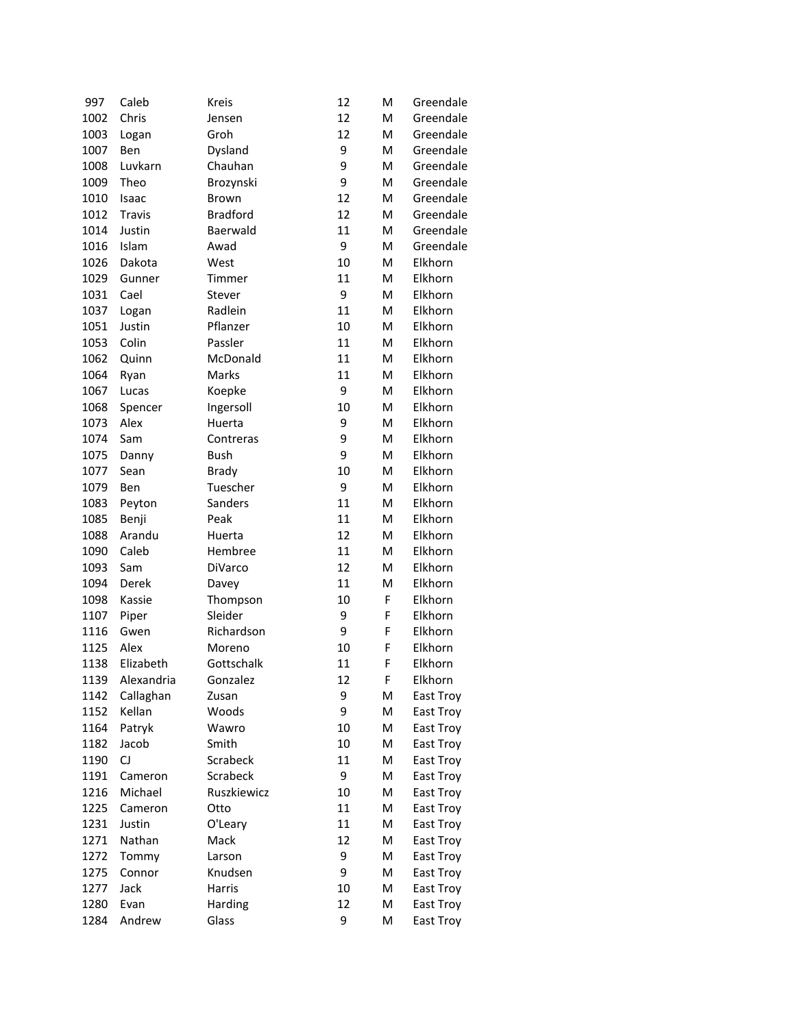| 997  | Caleb           | Kreis           | 12 | M | Greendale |
|------|-----------------|-----------------|----|---|-----------|
| 1002 | Chris           | Jensen          | 12 | M | Greendale |
| 1003 | Logan           | Groh            | 12 | M | Greendale |
| 1007 | Ben             | Dysland         | 9  | M | Greendale |
| 1008 | Luvkarn         | Chauhan         | 9  | M | Greendale |
| 1009 | Theo            | Brozynski       | 9  | M | Greendale |
| 1010 | Isaac           | Brown           | 12 | M | Greendale |
| 1012 | Travis          | <b>Bradford</b> | 12 | M | Greendale |
| 1014 | Justin          | Baerwald        | 11 | M | Greendale |
| 1016 | Islam           | Awad            | 9  | M | Greendale |
| 1026 | Dakota          | West            | 10 | M | Elkhorn   |
| 1029 | Gunner          | Timmer          | 11 | M | Elkhorn   |
| 1031 | Cael            | Stever          | 9  | M | Elkhorn   |
| 1037 | Logan           | Radlein         | 11 | M | Elkhorn   |
| 1051 | Justin          | Pflanzer        | 10 | M | Elkhorn   |
| 1053 | Colin           | Passler         | 11 | M | Elkhorn   |
| 1062 | Quinn           | McDonald        | 11 | M | Elkhorn   |
| 1064 | Ryan            | Marks           | 11 | M | Elkhorn   |
| 1067 | Lucas           | Koepke          | 9  | M | Elkhorn   |
| 1068 | Spencer         | Ingersoll       | 10 | M | Elkhorn   |
| 1073 | Alex            | Huerta          | 9  | M | Elkhorn   |
| 1074 | Sam             | Contreras       | 9  | M | Elkhorn   |
| 1075 | Danny           | <b>Bush</b>     | 9  | M | Elkhorn   |
| 1077 | Sean            | <b>Brady</b>    | 10 | M | Elkhorn   |
| 1079 | Ben             | Tuescher        | 9  | M | Elkhorn   |
| 1083 | Peyton          | Sanders         | 11 | M | Elkhorn   |
| 1085 | Benji           | Peak            | 11 | M | Elkhorn   |
| 1088 | Arandu          | Huerta          | 12 | M | Elkhorn   |
| 1090 | Caleb           | Hembree         | 11 | M | Elkhorn   |
| 1093 | Sam             | DiVarco         | 12 | M | Elkhorn   |
| 1094 | Derek           | Davey           | 11 | M | Elkhorn   |
| 1098 | Kassie          | Thompson        | 10 | F | Elkhorn   |
| 1107 | Piper           | Sleider         | 9  | F | Elkhorn   |
| 1116 | Gwen            | Richardson      | 9  | F | Elkhorn   |
| 1125 | Alex            | Moreno          | 10 | F | Elkhorn   |
| 1138 | Elizabeth       | Gottschalk      | 11 | F | Elkhorn   |
| 1139 | Alexandria      | Gonzalez        | 12 | F | Elkhorn   |
| 1142 | Callaghan       | Zusan           | 9  | M | East Troy |
| 1152 | Kellan          | Woods           | 9  | M | East Troy |
| 1164 | Patryk          | Wawro           | 10 | M | East Troy |
| 1182 | Jacob           | Smith           | 10 | M | East Troy |
| 1190 | CJ              | Scrabeck        | 11 | M | East Troy |
| 1191 | Cameron         | Scrabeck        | 9  | M | East Troy |
| 1216 | Michael         | Ruszkiewicz     | 10 | M | East Troy |
| 1225 | Cameron         | Otto            | 11 | M | East Troy |
| 1231 | Justin          | O'Leary         | 11 | M | East Troy |
| 1271 | Nathan          | Mack            | 12 | M | East Troy |
| 1272 |                 | Larson          | 9  | M | East Troy |
| 1275 | Tommy<br>Connor | Knudsen         | 9  | M | East Troy |
|      | Jack            | Harris          | 10 | M | East Troy |
| 1277 | Evan            |                 | 12 | M |           |
| 1280 |                 | Harding         |    |   | East Troy |
| 1284 | Andrew          | Glass           | 9  | M | East Troy |